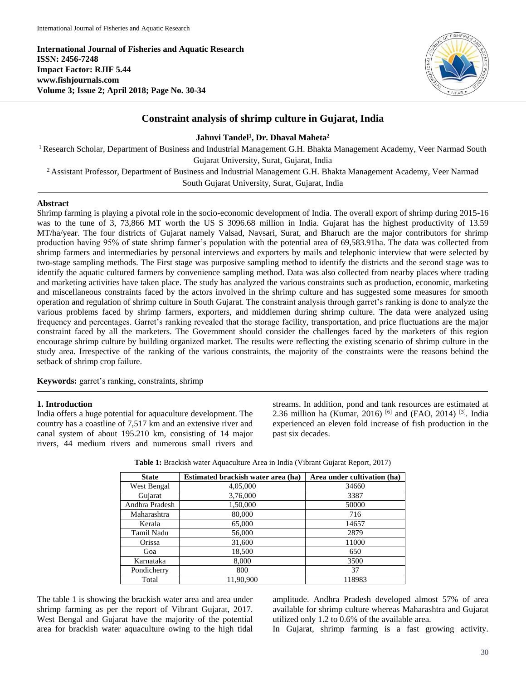**International Journal of Fisheries and Aquatic Research ISSN: 2456-7248 Impact Factor: RJIF 5.44 www.fishjournals.com Volume 3; Issue 2; April 2018; Page No. 30-34**



# **Constraint analysis of shrimp culture in Gujarat, India**

# **Jahnvi Tandel<sup>1</sup> , Dr. Dhaval Maheta 2**

<sup>1</sup> Research Scholar, Department of Business and Industrial Management G.H. Bhakta Management Academy, Veer Narmad South Gujarat University, Surat, Gujarat, India

<sup>2</sup> Assistant Professor, Department of Business and Industrial Management G.H. Bhakta Management Academy, Veer Narmad

South Gujarat University, Surat, Gujarat, India

# **Abstract**

Shrimp farming is playing a pivotal role in the socio-economic development of India. The overall export of shrimp during 2015-16 was to the tune of 3, 73,866 MT worth the US \$ 3096.68 million in India. Gujarat has the highest productivity of 13.59 MT/ha/year. The four districts of Gujarat namely Valsad, Navsari, Surat, and Bharuch are the major contributors for shrimp production having 95% of state shrimp farmer's population with the potential area of 69,583.91ha. The data was collected from shrimp farmers and intermediaries by personal interviews and exporters by mails and telephonic interview that were selected by two-stage sampling methods. The First stage was purposive sampling method to identify the districts and the second stage was to identify the aquatic cultured farmers by convenience sampling method. Data was also collected from nearby places where trading and marketing activities have taken place. The study has analyzed the various constraints such as production, economic, marketing and miscellaneous constraints faced by the actors involved in the shrimp culture and has suggested some measures for smooth operation and regulation of shrimp culture in South Gujarat. The constraint analysis through garret's ranking is done to analyze the various problems faced by shrimp farmers, exporters, and middlemen during shrimp culture. The data were analyzed using frequency and percentages. Garret's ranking revealed that the storage facility, transportation, and price fluctuations are the major constraint faced by all the marketers. The Government should consider the challenges faced by the marketers of this region encourage shrimp culture by building organized market. The results were reflecting the existing scenario of shrimp culture in the study area. Irrespective of the ranking of the various constraints, the majority of the constraints were the reasons behind the setback of shrimp crop failure.

**Keywords:** garret's ranking, constraints, shrimp

# **1. Introduction**

India offers a huge potential for aquaculture development. The country has a coastline of 7,517 km and an extensive river and canal system of about 195.210 km, consisting of 14 major rivers, 44 medium rivers and numerous small rivers and streams. In addition, pond and tank resources are estimated at 2.36 million ha (Kumar, 2016) <sup>[6]</sup> and (FAO, 2014) <sup>[3]</sup>. India experienced an eleven fold increase of fish production in the past six decades.

| <b>State</b>   | Estimated brackish water area (ha) | Area under cultivation (ha) |  |
|----------------|------------------------------------|-----------------------------|--|
| West Bengal    | 4,05,000                           | 34660                       |  |
| Gujarat        | 3,76,000                           | 3387                        |  |
| Andhra Pradesh | 1,50,000                           | 50000                       |  |
| Maharashtra    | 80,000                             | 716                         |  |
| Kerala         | 65,000                             | 14657                       |  |
| Tamil Nadu     | 56,000                             | 2879                        |  |
| Orissa         | 31,600                             | 11000                       |  |
| Goa            | 18,500                             | 650                         |  |
| Karnataka      | 8,000                              | 3500                        |  |
| Pondicherry    | 800                                | 37                          |  |
| Total          | 11.90.900                          | 118983                      |  |

**Table 1:** Brackish water Aquaculture Area in India (Vibrant Gujarat Report, 2017)

The table 1 is showing the brackish water area and area under shrimp farming as per the report of Vibrant Gujarat, 2017. West Bengal and Gujarat have the majority of the potential area for brackish water aquaculture owing to the high tidal amplitude. Andhra Pradesh developed almost 57% of area available for shrimp culture whereas Maharashtra and Gujarat utilized only 1.2 to 0.6% of the available area.

In Gujarat, shrimp farming is a fast growing activity.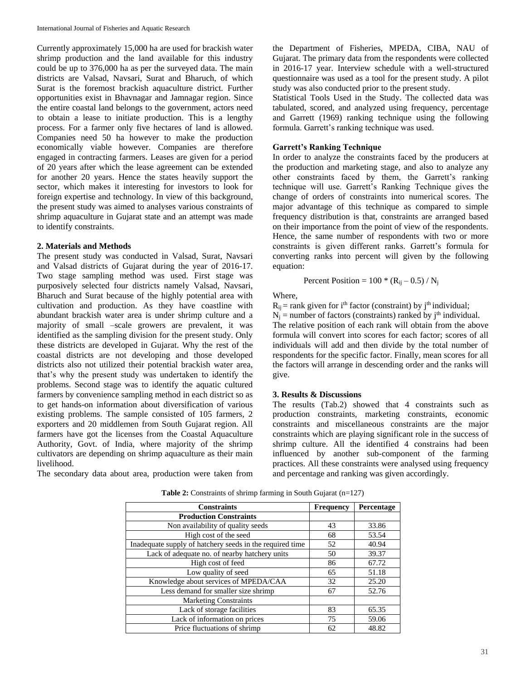Currently approximately 15,000 ha are used for brackish water shrimp production and the land available for this industry could be up to 376,000 ha as per the surveyed data. The main districts are Valsad, Navsari, Surat and Bharuch, of which Surat is the foremost brackish aquaculture district. Further opportunities exist in Bhavnagar and Jamnagar region. Since the entire coastal land belongs to the government, actors need to obtain a lease to initiate production. This is a lengthy process. For a farmer only five hectares of land is allowed. Companies need 50 ha however to make the production economically viable however. Companies are therefore engaged in contracting farmers. Leases are given for a period of 20 years after which the lease agreement can be extended for another 20 years. Hence the states heavily support the sector, which makes it interesting for investors to look for foreign expertise and technology. In view of this background, the present study was aimed to analyses various constraints of shrimp aquaculture in Gujarat state and an attempt was made to identify constraints.

### **2. Materials and Methods**

The present study was conducted in Valsad, Surat, Navsari and Valsad districts of Gujarat during the year of 2016-17. Two stage sampling method was used. First stage was purposively selected four districts namely Valsad, Navsari, Bharuch and Surat because of the highly potential area with cultivation and production. As they have coastline with abundant brackish water area is under shrimp culture and a majority of small –scale growers are prevalent, it was identified as the sampling division for the present study. Only these districts are developed in Gujarat. Why the rest of the coastal districts are not developing and those developed districts also not utilized their potential brackish water area, that's why the present study was undertaken to identify the problems. Second stage was to identify the aquatic cultured farmers by convenience sampling method in each district so as to get hands-on information about diversification of various existing problems. The sample consisted of 105 farmers, 2 exporters and 20 middlemen from South Gujarat region. All farmers have got the licenses from the Coastal Aquaculture Authority, Govt. of India, where majority of the shrimp cultivators are depending on shrimp aquaculture as their main livelihood.

The secondary data about area, production were taken from

the Department of Fisheries, MPEDA, CIBA, NAU of Gujarat. The primary data from the respondents were collected in 2016-17 year. Interview schedule with a well-structured questionnaire was used as a tool for the present study. A pilot study was also conducted prior to the present study.

Statistical Tools Used in the Study. The collected data was tabulated, scored, and analyzed using frequency, percentage and Garrett (1969) ranking technique using the following formula. Garrett's ranking technique was used.

# **Garrett's Ranking Technique**

In order to analyze the constraints faced by the producers at the production and marketing stage, and also to analyze any other constraints faced by them, the Garrett's ranking technique will use. Garrett's Ranking Technique gives the change of orders of constraints into numerical scores. The major advantage of this technique as compared to simple frequency distribution is that, constraints are arranged based on their importance from the point of view of the respondents. Hence, the same number of respondents with two or more constraints is given different ranks. Garrett's formula for converting ranks into percent will given by the following equation:

Percent Position = 
$$
100 * (R_{ij} - 0.5) / N_j
$$

Where,

 $R_{ij}$  = rank given for i<sup>th</sup> factor (constraint) by j<sup>th</sup> individual;

 $N_i$  = number of factors (constraints) ranked by  $i<sup>th</sup>$  individual.

The relative position of each rank will obtain from the above formula will convert into scores for each factor; scores of all individuals will add and then divide by the total number of respondents for the specific factor. Finally, mean scores for all the factors will arrange in descending order and the ranks will give.

# **3. Results & Discussions**

The results (Tab.2) showed that 4 constraints such as production constraints, marketing constraints, economic constraints and miscellaneous constraints are the major constraints which are playing significant role in the success of shrimp culture. All the identified 4 constrains had been influenced by another sub-component of the farming practices. All these constraints were analysed using frequency and percentage and ranking was given accordingly.

| <b>Constraints</b>                                       | <b>Frequency</b> | Percentage |
|----------------------------------------------------------|------------------|------------|
| <b>Production Constraints</b>                            |                  |            |
| Non availability of quality seeds                        | 43               | 33.86      |
| High cost of the seed                                    | 68               | 53.54      |
| Inadequate supply of hatchery seeds in the required time | 52               | 40.94      |
| Lack of adequate no. of nearby hatchery units            | 50               | 39.37      |
| High cost of feed                                        | 86               | 67.72      |
| Low quality of seed                                      | 65               | 51.18      |
| Knowledge about services of MPEDA/CAA                    | 32               | 25.20      |
| Less demand for smaller size shrimp                      | 67               | 52.76      |
| <b>Marketing Constraints</b>                             |                  |            |
| Lack of storage facilities                               | 83               | 65.35      |
| Lack of information on prices                            | 75               | 59.06      |
| Price fluctuations of shrimp                             | 62               | 48.82      |

**Table 2:** Constraints of shrimp farming in South Gujarat (n=127)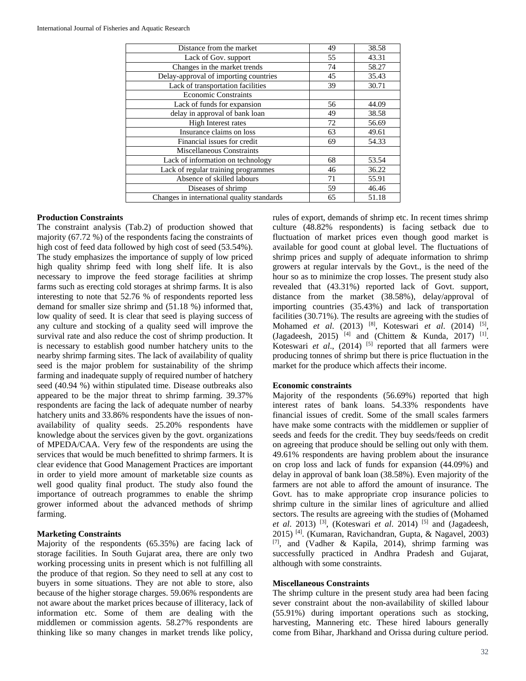| Distance from the market                   | 49 | 38.58 |
|--------------------------------------------|----|-------|
| Lack of Gov. support                       | 55 | 43.31 |
| Changes in the market trends               | 74 | 58.27 |
| Delay-approval of importing countries      | 45 | 35.43 |
| Lack of transportation facilities          | 39 | 30.71 |
| <b>Economic Constraints</b>                |    |       |
| Lack of funds for expansion                | 56 | 44.09 |
| delay in approval of bank loan             | 49 | 38.58 |
| High Interest rates                        | 72 | 56.69 |
| Insurance claims on loss                   | 63 | 49.61 |
| Financial issues for credit                | 69 | 54.33 |
| <b>Miscellaneous Constraints</b>           |    |       |
| Lack of information on technology          | 68 | 53.54 |
| Lack of regular training programmes        | 46 | 36.22 |
| Absence of skilled labours                 | 71 | 55.91 |
| Diseases of shrimp                         | 59 | 46.46 |
| Changes in international quality standards | 65 | 51.18 |

#### **Production Constraints**

The constraint analysis (Tab.2) of production showed that majority (67.72 %) of the respondents facing the constraints of high cost of feed data followed by high cost of seed (53.54%). The study emphasizes the importance of supply of low priced high quality shrimp feed with long shelf life. It is also necessary to improve the feed storage facilities at shrimp farms such as erecting cold storages at shrimp farms. It is also interesting to note that 52.76 % of respondents reported less demand for smaller size shrimp and (51.18 %) informed that, low quality of seed. It is clear that seed is playing success of any culture and stocking of a quality seed will improve the survival rate and also reduce the cost of shrimp production. It is necessary to establish good number hatchery units to the nearby shrimp farming sites. The lack of availability of quality seed is the major problem for sustainability of the shrimp farming and inadequate supply of required number of hatchery seed (40.94 %) within stipulated time. Disease outbreaks also appeared to be the major threat to shrimp farming. 39.37% respondents are facing the lack of adequate number of nearby hatchery units and 33.86% respondents have the issues of nonavailability of quality seeds. 25.20% respondents have knowledge about the services given by the govt. organizations of MPEDA/CAA. Very few of the respondents are using the services that would be much benefitted to shrimp farmers. It is clear evidence that Good Management Practices are important in order to yield more amount of marketable size counts as well good quality final product. The study also found the importance of outreach programmes to enable the shrimp grower informed about the advanced methods of shrimp farming.

#### **Marketing Constraints**

Majority of the respondents (65.35%) are facing lack of storage facilities. In South Gujarat area, there are only two working processing units in present which is not fulfilling all the produce of that region. So they need to sell at any cost to buyers in some situations. They are not able to store, also because of the higher storage charges. 59.06% respondents are not aware about the market prices because of illiteracy, lack of information etc. Some of them are dealing with the middlemen or commission agents. 58.27% respondents are thinking like so many changes in market trends like policy, rules of export, demands of shrimp etc. In recent times shrimp culture (48.82% respondents) is facing setback due to fluctuation of market prices even though good market is available for good count at global level. The fluctuations of shrimp prices and supply of adequate information to shrimp growers at regular intervals by the Govt., is the need of the hour so as to minimize the crop losses. The present study also revealed that (43.31%) reported lack of Govt. support, distance from the market (38.58%), delay/approval of importing countries (35.43%) and lack of transportation facilities (30.71%). The results are agreeing with the studies of Mohamed *et al*. (2013) [8], Koteswari *et al*. (2014) [5] , (Jagadeesh, 2015)<sup>[4]</sup> and (Chittem & Kunda, 2017)<sup>[1]</sup>. Koteswari *et al.*, (2014) <sup>[5]</sup> reported that all farmers were producing tonnes of shrimp but there is price fluctuation in the market for the produce which affects their income.

# **Economic constraints**

Majority of the respondents (56.69%) reported that high interest rates of bank loans. 54.33% respondents have financial issues of credit. Some of the small scales farmers have make some contracts with the middlemen or supplier of seeds and feeds for the credit. They buy seeds/feeds on credit on agreeing that produce should be selling out only with them. 49.61% respondents are having problem about the insurance on crop loss and lack of funds for expansion (44.09%) and delay in approval of bank loan (38.58%). Even majority of the farmers are not able to afford the amount of insurance. The Govt. has to make appropriate crop insurance policies to shrimp culture in the similar lines of agriculture and allied sectors. The results are agreeing with the studies of (Mohamed *et al*. 2013) [3], (Koteswari *et al*. 2014) [5] and (Jagadeesh, 2015) [4]. (Kumaran, Ravichandran, Gupta, & Nagavel, 2003) [7], and (Vadher & Kapila, 2014), shrimp farming was successfully practiced in Andhra Pradesh and Gujarat, although with some constraints.

#### **Miscellaneous Constraints**

The shrimp culture in the present study area had been facing sever constraint about the non-availability of skilled labour (55.91%) during important operations such as stocking, harvesting, Mannering etc. These hired labours generally come from Bihar, Jharkhand and Orissa during culture period.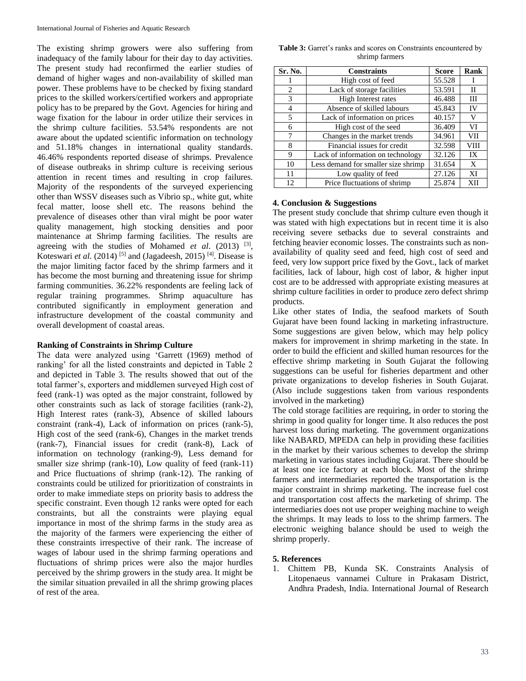The existing shrimp growers were also suffering from inadequacy of the family labour for their day to day activities. The present study had reconfirmed the earlier studies of demand of higher wages and non-availability of skilled man power. These problems have to be checked by fixing standard prices to the skilled workers/certified workers and appropriate policy has to be prepared by the Govt. Agencies for hiring and wage fixation for the labour in order utilize their services in the shrimp culture facilities. 53.54% respondents are not aware about the updated scientific information on technology and 51.18% changes in international quality standards. 46.46% respondents reported disease of shrimps. Prevalence of disease outbreaks in shrimp culture is receiving serious attention in recent times and resulting in crop failures. Majority of the respondents of the surveyed experiencing other than WSSV diseases such as Vibrio sp., white gut, white fecal matter, loose shell etc. The reasons behind the prevalence of diseases other than viral might be poor water quality management, high stocking densities and poor maintenance at Shrimp farming facilities. The results are agreeing with the studies of Mohamed *et al.* (2013) <sup>[3]</sup>, Koteswari *et al.* (2014)<sup>[5]</sup> and (Jagadeesh, 2015)<sup>[4]</sup>. Disease is the major limiting factor faced by the shrimp farmers and it has become the most burning and threatening issue for shrimp farming communities. 36.22% respondents are feeling lack of regular training programmes. Shrimp aquaculture has contributed significantly in employment generation and infrastructure development of the coastal community and overall development of coastal areas.

#### **Ranking of Constraints in Shrimp Culture**

The data were analyzed using 'Garrett (1969) method of ranking' for all the listed constraints and depicted in Table 2 and depicted in Table 3. The results showed that out of the total farmer's, exporters and middlemen surveyed High cost of feed (rank-1) was opted as the major constraint, followed by other constraints such as lack of storage facilities (rank-2), High Interest rates (rank-3), Absence of skilled labours constraint (rank-4), Lack of information on prices (rank-5), High cost of the seed (rank-6), Changes in the market trends (rank-7), Financial issues for credit (rank-8), Lack of information on technology (ranking-9), Less demand for smaller size shrimp (rank-10), Low quality of feed (rank-11) and Price fluctuations of shrimp (rank-12). The ranking of constraints could be utilized for prioritization of constraints in order to make immediate steps on priority basis to address the specific constraint. Even though 12 ranks were opted for each constraints, but all the constraints were playing equal importance in most of the shrimp farms in the study area as the majority of the farmers were experiencing the either of these constraints irrespective of their rank. The increase of wages of labour used in the shrimp farming operations and fluctuations of shrimp prices were also the major hurdles perceived by the shrimp growers in the study area. It might be the similar situation prevailed in all the shrimp growing places of rest of the area.

| <b>Table 3:</b> Garret's ranks and scores on Constraints encountered by |  |  |  |  |
|-------------------------------------------------------------------------|--|--|--|--|
| shrimp farmers                                                          |  |  |  |  |

| Sr. No. | <b>Constraints</b>                  | <b>Score</b> | Rank |
|---------|-------------------------------------|--------------|------|
|         | High cost of feed                   | 55.528       | 1    |
| 2       | Lack of storage facilities          | 53.591       | П    |
| 3       | <b>High Interest rates</b>          | 46.488       | Ш    |
| 4       | Absence of skilled labours          | 45.843       | IV   |
| 5       | Lack of information on prices       | 40.157       | V    |
| 6       | High cost of the seed               | 36.409       | VI   |
| 7       | Changes in the market trends        | 34.961       | VII  |
| 8       | Financial issues for credit         | 32.598       | VIII |
| 9       | Lack of information on technology   | 32.126       | IX   |
| 10      | Less demand for smaller size shrimp | 31.654       | X    |
| 11      | Low quality of feed                 | 27.126       | XI   |
| 12      | Price fluctuations of shrimp        | 25.874       | XII  |

### **4. Conclusion & Suggestions**

The present study conclude that shrimp culture even though it was stated with high expectations but in recent time it is also receiving severe setbacks due to several constraints and fetching heavier economic losses. The constraints such as nonavailability of quality seed and feed, high cost of seed and feed, very low support price fixed by the Govt., lack of market facilities, lack of labour, high cost of labor, & higher input cost are to be addressed with appropriate existing measures at shrimp culture facilities in order to produce zero defect shrimp products.

Like other states of India, the seafood markets of South Gujarat have been found lacking in marketing infrastructure. Some suggestions are given below, which may help policy makers for improvement in shrimp marketing in the state. In order to build the efficient and skilled human resources for the effective shrimp marketing in South Gujarat the following suggestions can be useful for fisheries department and other private organizations to develop fisheries in South Gujarat. (Also include suggestions taken from various respondents involved in the marketing)

The cold storage facilities are requiring, in order to storing the shrimp in good quality for longer time. It also reduces the post harvest loss during marketing. The government organizations like NABARD, MPEDA can help in providing these facilities in the market by their various schemes to develop the shrimp marketing in various states including Gujarat. There should be at least one ice factory at each block. Most of the shrimp farmers and intermediaries reported the transportation is the major constraint in shrimp marketing. The increase fuel cost and transportation cost affects the marketing of shrimp. The intermediaries does not use proper weighing machine to weigh the shrimps. It may leads to loss to the shrimp farmers. The electronic weighing balance should be used to weigh the shrimp properly.

# **5. References**

1. Chittem PB, Kunda SK. Constraints Analysis of Litopenaeus vannamei Culture in Prakasam District, Andhra Pradesh, India. International Journal of Research